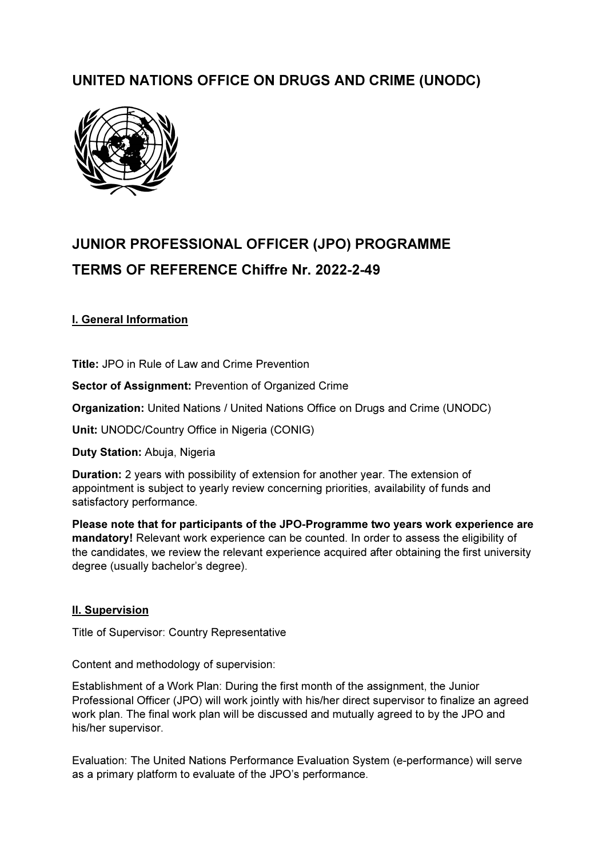# UNITED NATIONS OFFICE ON DRUGS AND CRIME (UNODC)



# JUNIOR PROFESSIONAL OFFICER (JPO) PROGRAMME TERMS OF REFERENCE Chiffre Nr. 2022-2-49

# I. General Information

Title: JPO in Rule of Law and Crime Prevention

Sector of Assignment: Prevention of Organized Crime

Organization: United Nations / United Nations Office on Drugs and Crime (UNODC)

Unit: UNODC/Country Office in Nigeria (CONIG)

Duty Station: Abuja, Nigeria

Duration: 2 years with possibility of extension for another year. The extension of appointment is subject to yearly review concerning priorities, availability of funds and satisfactory performance.

Please note that for participants of the JPO-Programme two years work experience are mandatory! Relevant work experience can be counted. In order to assess the eligibility of the candidates, we review the relevant experience acquired after obtaining the first university degree (usually bachelor's degree).

# II. Supervision

Title of Supervisor: Country Representative

Content and methodology of supervision:

Establishment of a Work Plan: During the first month of the assignment, the Junior Professional Officer (JPO) will work jointly with his/her direct supervisor to finalize an agreed work plan. The final work plan will be discussed and mutually agreed to by the JPO and his/her supervisor.

Evaluation: The United Nations Performance Evaluation System (e-performance) will serve as a primary platform to evaluate of the JPO's performance.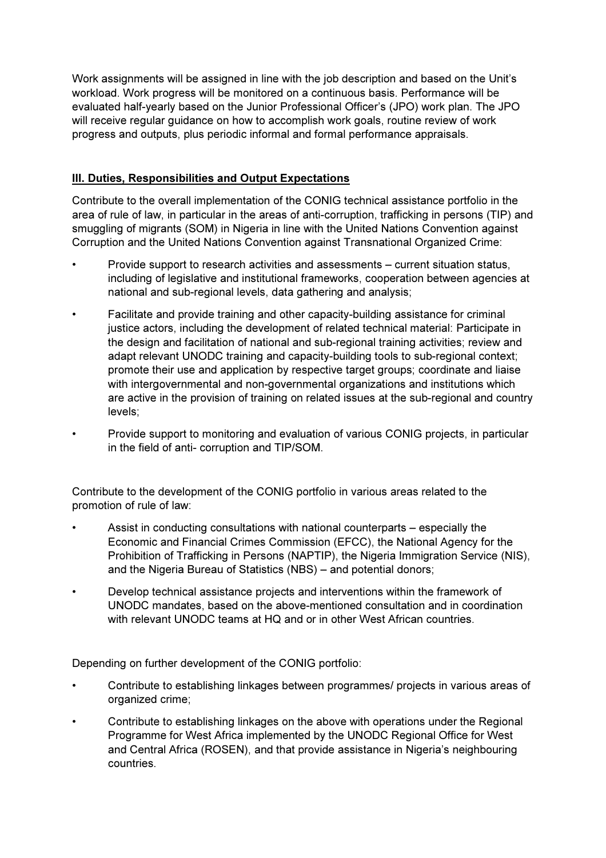Work assignments will be assigned in line with the job description and based on the Unit's workload. Work progress will be monitored on a continuous basis. Performance will be evaluated half-yearly based on the Junior Professional Officer's (JPO) work plan. The JPO will receive regular guidance on how to accomplish work goals, routine review of work progress and outputs, plus periodic informal and formal performance appraisals.

# III. Duties, Responsibilities and Output Expectations

Contribute to the overall implementation of the CONIG technical assistance portfolio in the area of rule of law, in particular in the areas of anti-corruption, trafficking in persons (TIP) and smuggling of migrants (SOM) in Nigeria in line with the United Nations Convention against Corruption and the United Nations Convention against Transnational Organized Crime:

- Provide support to research activities and assessments current situation status, including of legislative and institutional frameworks, cooperation between agencies at national and sub-regional levels, data gathering and analysis;
- Facilitate and provide training and other capacity-building assistance for criminal justice actors, including the development of related technical material: Participate in the design and facilitation of national and sub-regional training activities; review and adapt relevant UNODC training and capacity-building tools to sub-regional context; promote their use and application by respective target groups; coordinate and liaise with intergovernmental and non-governmental organizations and institutions which are active in the provision of training on related issues at the sub-regional and country levels;
- Provide support to monitoring and evaluation of various CONIG projects, in particular in the field of anti- corruption and TIP/SOM.

Contribute to the development of the CONIG portfolio in various areas related to the promotion of rule of law:

- Assist in conducting consultations with national counterparts especially the Economic and Financial Crimes Commission (EFCC), the National Agency for the Prohibition of Trafficking in Persons (NAPTIP), the Nigeria Immigration Service (NIS), and the Nigeria Bureau of Statistics (NBS) – and potential donors;
- Develop technical assistance projects and interventions within the framework of UNODC mandates, based on the above-mentioned consultation and in coordination with relevant UNODC teams at HQ and or in other West African countries.

Depending on further development of the CONIG portfolio:

- Contribute to establishing linkages between programmes/ projects in various areas of organized crime;
- Contribute to establishing linkages on the above with operations under the Regional Programme for West Africa implemented by the UNODC Regional Office for West and Central Africa (ROSEN), and that provide assistance in Nigeria's neighbouring countries.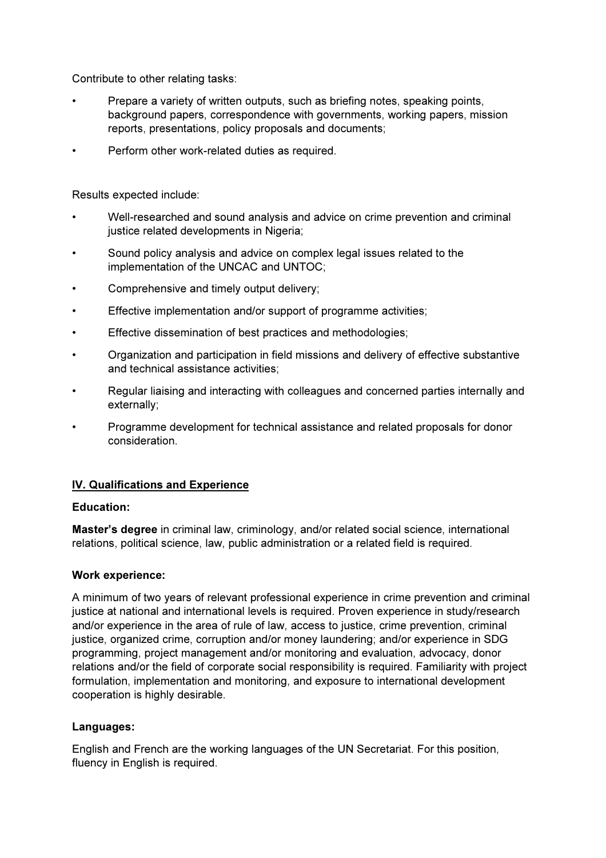Contribute to other relating tasks:

- Prepare a variety of written outputs, such as briefing notes, speaking points, background papers, correspondence with governments, working papers, mission reports, presentations, policy proposals and documents;
- Perform other work-related duties as required.

Results expected include:

- Well-researched and sound analysis and advice on crime prevention and criminal justice related developments in Nigeria;
- Sound policy analysis and advice on complex legal issues related to the implementation of the UNCAC and UNTOC;
- Comprehensive and timely output delivery;
- Effective implementation and/or support of programme activities;
- Effective dissemination of best practices and methodologies;
- Organization and participation in field missions and delivery of effective substantive and technical assistance activities;
- Regular liaising and interacting with colleagues and concerned parties internally and externally;
- Programme development for technical assistance and related proposals for donor consideration.

# IV. Qualifications and Experience

#### Education:

Master's degree in criminal law, criminology, and/or related social science, international relations, political science, law, public administration or a related field is required.

#### Work experience:

A minimum of two years of relevant professional experience in crime prevention and criminal justice at national and international levels is required. Proven experience in study/research and/or experience in the area of rule of law, access to justice, crime prevention, criminal justice, organized crime, corruption and/or money laundering; and/or experience in SDG programming, project management and/or monitoring and evaluation, advocacy, donor relations and/or the field of corporate social responsibility is required. Familiarity with project formulation, implementation and monitoring, and exposure to international development cooperation is highly desirable.

#### Languages:

English and French are the working languages of the UN Secretariat. For this position, fluency in English is required.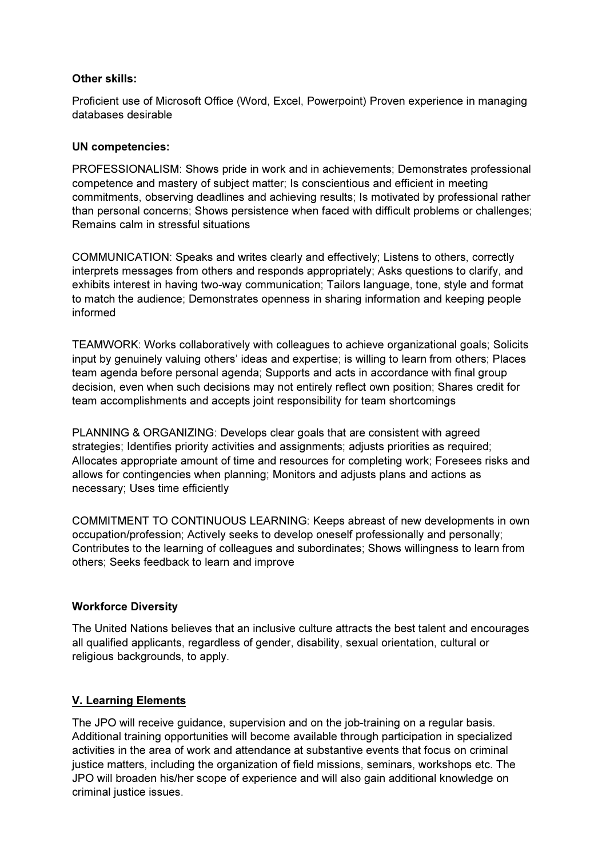#### Other skills:

Proficient use of Microsoft Office (Word, Excel, Powerpoint) Proven experience in managing databases desirable

#### UN competencies:

PROFESSIONALISM: Shows pride in work and in achievements; Demonstrates professional competence and mastery of subject matter; Is conscientious and efficient in meeting commitments, observing deadlines and achieving results; Is motivated by professional rather than personal concerns; Shows persistence when faced with difficult problems or challenges; Remains calm in stressful situations

COMMUNICATION: Speaks and writes clearly and effectively; Listens to others, correctly interprets messages from others and responds appropriately; Asks questions to clarify, and exhibits interest in having two-way communication; Tailors language, tone, style and format to match the audience; Demonstrates openness in sharing information and keeping people informed

TEAMWORK: Works collaboratively with colleagues to achieve organizational goals; Solicits input by genuinely valuing others' ideas and expertise; is willing to learn from others; Places team agenda before personal agenda; Supports and acts in accordance with final group decision, even when such decisions may not entirely reflect own position; Shares credit for team accomplishments and accepts joint responsibility for team shortcomings

PLANNING & ORGANIZING: Develops clear goals that are consistent with agreed strategies; Identifies priority activities and assignments; adjusts priorities as required; Allocates appropriate amount of time and resources for completing work; Foresees risks and allows for contingencies when planning; Monitors and adjusts plans and actions as necessary; Uses time efficiently

COMMITMENT TO CONTINUOUS LEARNING: Keeps abreast of new developments in own occupation/profession; Actively seeks to develop oneself professionally and personally; Contributes to the learning of colleagues and subordinates; Shows willingness to learn from others; Seeks feedback to learn and improve

# Workforce Diversity

The United Nations believes that an inclusive culture attracts the best talent and encourages all qualified applicants, regardless of gender, disability, sexual orientation, cultural or religious backgrounds, to apply.

# V. Learning Elements

The JPO will receive guidance, supervision and on the job-training on a regular basis. Additional training opportunities will become available through participation in specialized activities in the area of work and attendance at substantive events that focus on criminal justice matters, including the organization of field missions, seminars, workshops etc. The JPO will broaden his/her scope of experience and will also gain additional knowledge on criminal justice issues.